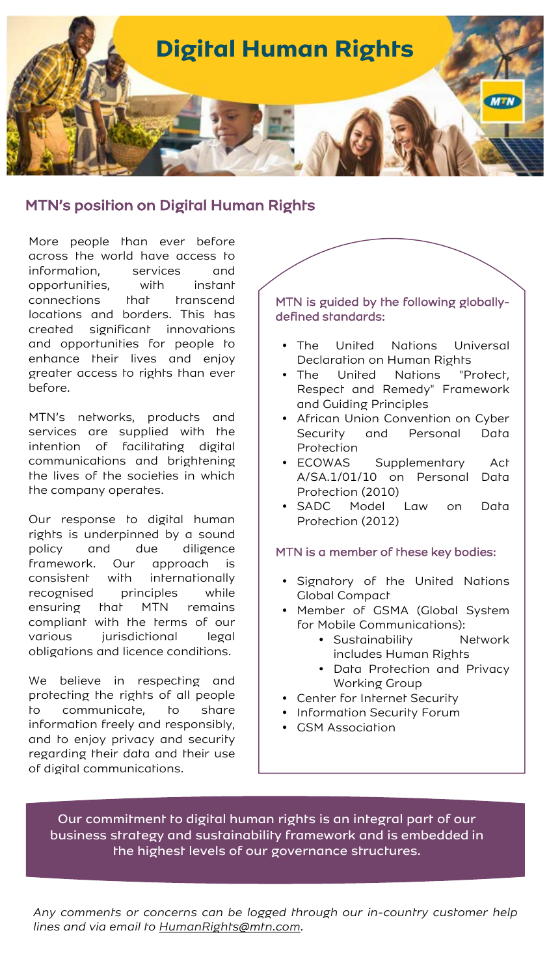

# MTN's position on Digital Human Rights

More people than ever before across the world have access to information, services and opportunities, with instant connections that transcend locations and borders. This has created significant innovations and opportunities for people to enhance their lives and enjoy greater access to rights than ever before.

MTN's networks, products and services are supplied with the intention of facilitating digital communications and brightening the lives of the societies in which the company operates.

Our response to digital human rights is underpinned by a sound policy and due diligence framework. Our approach is consistent with internationally recognised principles while ensuring that MTN remains compliant with the terms of our various jurisdictional legal obligations and licence conditions.

We believe in respecting and protecting the rights of all people to communicate, to share information freely and responsibly, and to enjoy privacy and security regarding their data and their use of digital communications.

## MTN is guided by the following globallydefined standards:

- The United Nations Universal Declaration on Human Rights
- The United Nations "Protect, Respect and Remedy" Framework and Guiding Principles
- African Union Convention on Cyber Security and Personal Data Protection
- ECOWAS Supplementary Act A/SA.1/01/10 on Personal Data Protection (2010)
- SADC Model Law on Data Protection (2012)

## MTN is a member of these key bodies:

- Signatory of the United Nations Global Compact
- Member of GSMA (Global System for Mobile Communications):
	- Sustainability Metwork includes Human Rights
	- Data Protection and Privacy Working Group
- Center for Internet Security
- Information Security Forum
- GSM Association

Our commitment to digital human rights is an integral part of our business strategy and sustainability framework and is embedded in the highest levels of our governance structures.

*Any comments or concerns can be logged through our in-country customer help lines and via email to [HumanRights@mtn.com.](mailto:HumanRights@mtn.com)*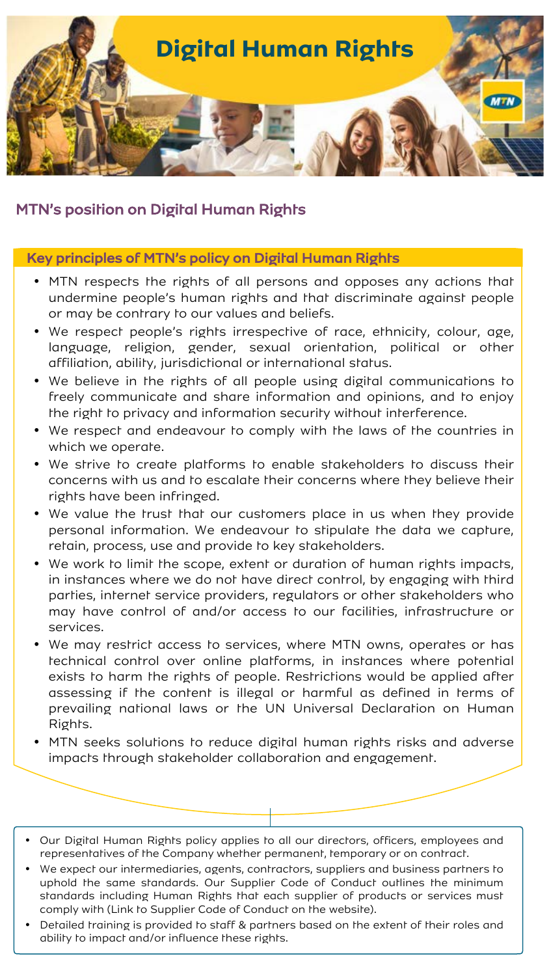

# MTN's position on Digital Human Rights

## Key principles of MTN's policy on Digital Human Rights

- MTN respects the rights of all persons and opposes any actions that undermine people's human rights and that discriminate against people or may be contrary to our values and beliefs.
- We respect people's rights irrespective of race, ethnicity, colour, age, language, religion, gender, sexual orientation, political or other affiliation, ability, jurisdictional or international status.
- We believe in the rights of all people using digital communications to freely communicate and share information and opinions, and to enjoy the right to privacy and information security without interference.
- We respect and endeavour to comply with the laws of the countries in which we operate.
- We strive to create platforms to enable stakeholders to discuss their concerns with us and to escalate their concerns where they believe their rights have been infringed.
- We value the trust that our customers place in us when they provide personal information. We endeavour to stipulate the data we capture, retain, process, use and provide to key stakeholders.
- We work to limit the scope, extent or duration of human rights impacts, in instances where we do not have direct control, by engaging with third parties, internet service providers, regulators or other stakeholders who may have control of and/or access to our facilities, infrastructure or services.
- We may restrict access to services, where MTN owns, operates or has technical control over online platforms, in instances where potential exists to harm the rights of people. Restrictions would be applied after assessing if the content is illegal or harmful as defined in terms of prevailing national laws or the UN Universal Declaration on Human Rights.
- MTN seeks solutions to reduce digital human rights risks and adverse impacts through stakeholder collaboration and engagement.
- Our Digital Human Rights policy applies to all our directors, officers, employees and representatives of the Company whether permanent, temporary or on contract.
- We expect our intermediaries, agents, contractors, suppliers and business partners to uphold the same standards. Our Supplier Code of Conduct outlines the minimum standards including Human Rights that each supplier of products or services must comply with (Link to Supplier Code of Conduct on the website).
- Detailed training is provided to staff & partners based on the extent of their roles and ability to impact and/or influence these rights.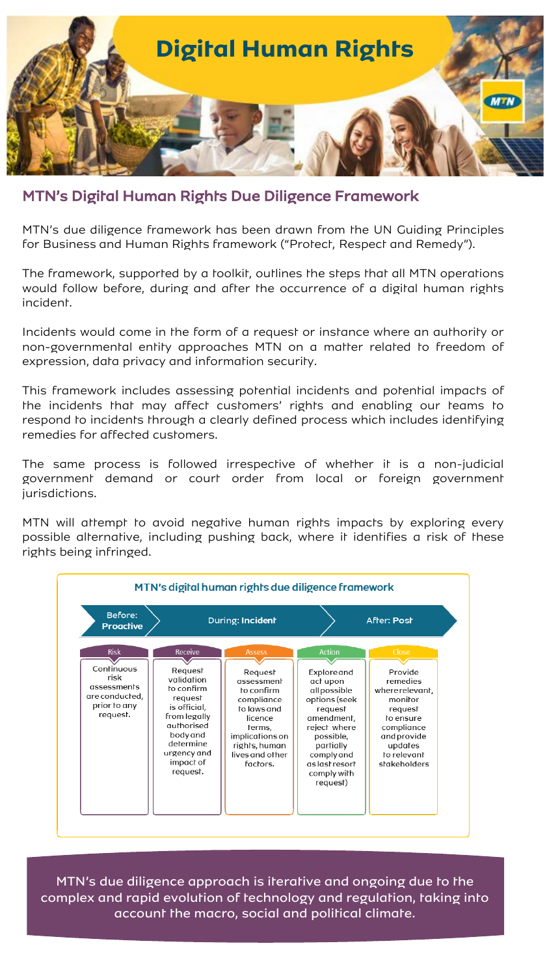

MTN's Digital Human Rights Due Diligence Framework

MTN's due diligence framework has been drawn from the UN Guiding Principles for Business and Human Rights framework ("Protect, Respect and Remedy").

The framework, supported by a toolkit, outlines the steps that all MTN operations would follow before, during and after the occurrence of a digital human rights incident.

Incidents would come in the form of a request or instance where an authority or non-governmental entity approaches MTN on a matter related to freedom of expression, data privacy and information security.

This framework includes assessing potential incidents and potential impacts of the incidents that may affect customers' rights and enabling our teams to respond to incidents through a clearly defined process which includes identifying remedies for affected customers.

The same process is followed irrespective of whether it is a non-judicial government demand or court order from local or foreign government jurisdictions.

MTN will attempt to avoid negative human rights impacts by exploring every possible alternative, including pushing back, where it identifies a risk of these rights being infringed.



MTN's due diligence approach is iterative and ongoing due to the complex and rapid evolution of technology and regulation, taking into account the macro, social and political climate.